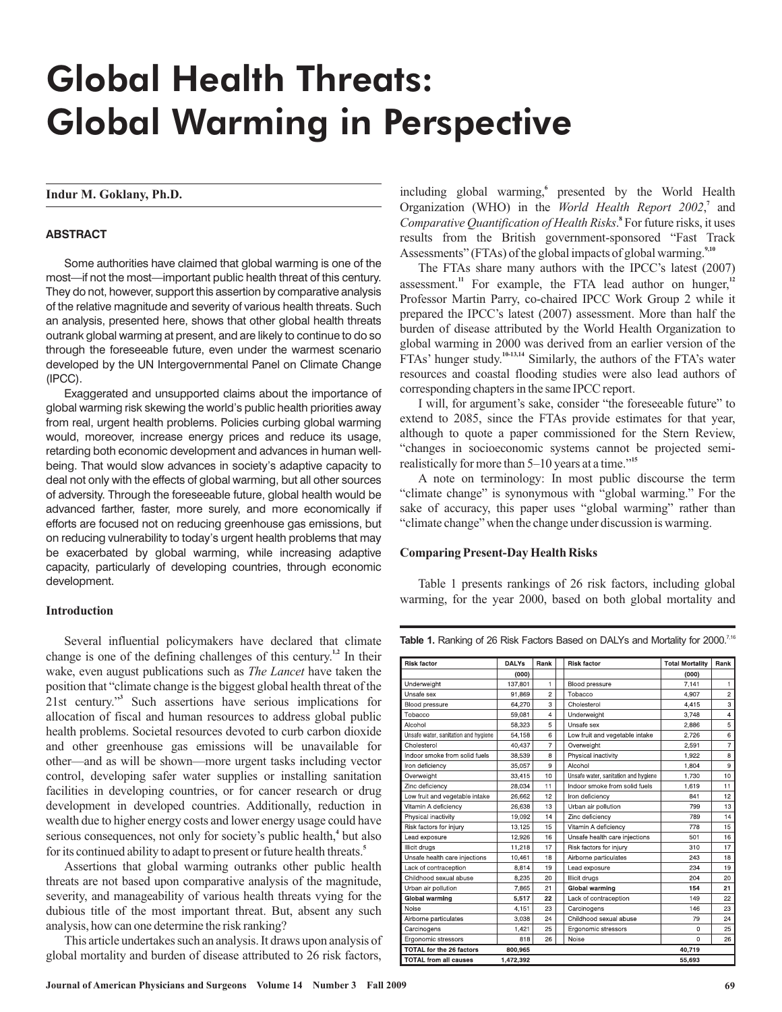# Global Health Threats: Global Warming in Perspective

**Indur M. Goklany, Ph.D.**

## **ABSTRACT**

Some authorities have claimed that global warming is one of the most—if not the most—important public health threat of this century. They do not, however, support this assertion by comparative analysis of the relative magnitude and severity of various health threats. Such an analysis, presented here, shows that other global health threats outrank global warming at present, and are likely to continue to do so through the foreseeable future, even under the warmest scenario developed by the UN Intergovernmental Panel on Climate Change (IPCC).

Exaggerated and unsupported claims about the importance of global warming risk skewing the world's public health priorities away from real, urgent health problems. Policies curbing global warming would, moreover, increase energy prices and reduce its usage, retarding both economic development and advances in human wellbeing. That would slow advances in society's adaptive capacity to deal not only with the effects of global warming, but all other sources of adversity. Through the foreseeable future, global health would be advanced farther, faster, more surely, and more economically if efforts are focused not on reducing greenhouse gas emissions, but on reducing vulnerability to today's urgent health problems that may be exacerbated by global warming, while increasing adaptive capacity, particularly of developing countries, through economic development.

## **Introduction**

Several influential policymakers have declared that climate change is one of the defining challenges of this century.<sup>1,2</sup> In their wake, even august publications such as *The Lancet* have taken the position that "climate change is the biggest global health threat of the 21st century." Such assertions have serious implications for **3** allocation of fiscal and human resources to address global public health problems. Societal resources devoted to curb carbon dioxide and other greenhouse gas emissions will be unavailable for other—and as will be shown—more urgent tasks including vector control, developing safer water supplies or installing sanitation facilities in developing countries, or for cancer research or drug development in developed countries. Additionally, reduction in wealth due to higher energy costs and lower energy usage could have serious consequences, not only for society's public health,<sup>4</sup> but also for its continued ability to adapt to present or future health threats. **5**

Assertions that global warming outranks other public health threats are not based upon comparative analysis of the magnitude, severity, and manageability of various health threats vying for the dubious title of the most important threat. But, absent any such analysis, how can one determine the risk ranking?

This article undertakes such an analysis. It draws upon analysis of global mortality and burden of disease attributed to 26 risk factors,

including global warming,<sup>6</sup> presented by the World Health Organization (WHO) in the World Health Report 2002,<sup>7</sup> and Comparative Quantification of Health Risks.<sup>8</sup> For future risks, it uses results from the British government-sponsored "Fast Track Assessments" (FTAs) of the global impacts of global warming. **9,10**

The FTAs share many authors with the IPCC's latest (2007) assessment.<sup>11</sup> For example, the FTA lead author on hunger,<sup>12</sup> Professor Martin Parry, co-chaired IPCC Work Group 2 while it prepared the IPCC's latest (2007) assessment. More than half the burden of disease attributed by the World Health Organization to global warming in 2000 was derived from an earlier version of the FTAs' hunger study.<sup>10-13,14</sup> Similarly, the authors of the FTA's water resources and coastal flooding studies were also lead authors of corresponding chapters in the same IPCC report.

I will, for argument's sake, consider "the foreseeable future" to extend to 2085, since the FTAs provide estimates for that year, although to quote a paper commissioned for the Stern Review, "changes in socioeconomic systems cannot be projected semirealistically for more than 5–10 years at a time." **15**

A note on terminology: In most public discourse the term "climate change" is synonymous with "global warming." For the sake of accuracy, this paper uses "global warming" rather than "climate change" when the change under discussion is warming.

## **Comparing Present-Day Health Risks**

Table 1 presents rankings of 26 risk factors, including global warming, for the year 2000, based on both global mortality and

| <b>Risk factor</b>                   | <b>DALYs</b> | Rank           | <b>Risk factor</b>                   | <b>Total Mortality</b> | Rank           |
|--------------------------------------|--------------|----------------|--------------------------------------|------------------------|----------------|
|                                      | (000)        |                |                                      | (000)                  |                |
| Underweight                          | 137,801      | 1              | Blood pressure                       | 7,141                  | 1              |
| Unsafe sex                           | 91.869       | $\overline{c}$ | Tobacco                              | 4,907                  | $\overline{a}$ |
| Blood pressure                       | 64.270       | 3              | Cholesterol                          | 4.415                  | 3              |
| Tobacco                              | 59,081       | 4              | Underweight                          | 3,748                  | $\overline{4}$ |
| Alcohol                              | 58,323       | 5              | Unsafe sex                           | 2,886                  | 5              |
| Unsafe water, sanitation and hygiene | 54.158       | 6              | Low fruit and vegetable intake       | 2.726                  | 6              |
| Cholesterol                          | 40.437       | 7              | Overweight                           | 2,591                  | $\overline{7}$ |
| Indoor smoke from solid fuels        | 38,539       | 8              | Physical inactivity                  | 1,922                  | 8              |
| Iron deficiency                      | 35.057       | 9              | Alcohol                              | 1.804                  | 9              |
| Overweight                           | 33,415       | 10             | Unsafe water, sanitation and hygiene | 1,730                  | 10             |
| Zinc deficiency                      | 28,034       | 11             | Indoor smoke from solid fuels        | 1,619                  | 11             |
| Low fruit and vegetable intake       | 26.662       | 12             | Iron deficiency                      | 841                    | 12             |
| Vitamin A deficiency                 | 26.638       | 13             | Urban air pollution                  | 799                    | 13             |
| Physical inactivity                  | 19,092       | 14             | Zinc deficiency                      | 789                    | 14             |
| Risk factors for injury              | 13,125       | 15             | Vitamin A deficiency                 | 778                    | 15             |
| Lead exposure                        | 12,926       | 16             | Unsafe health care injections        | 501                    | 16             |
| Illicit drugs                        | 11,218       | 17             | Risk factors for injury              | 310                    | 17             |
| Unsafe health care injections        | 10,461       | 18             | Airborne particulates                | 243                    | 18             |
| Lack of contraception                | 8.814        | 19             | Lead exposure                        | 234                    | 19             |
| Childhood sexual abuse               | 8,235        | 20             | Illicit drugs                        | 204                    | 20             |
| Urban air pollution                  | 7,865        | 21             | <b>Global warming</b>                | 154                    | 21             |
| <b>Global warming</b>                | 5,517        | 22             | Lack of contraception                | 149                    | 22             |
| Noise                                | 4.151        | 23             | Carcinogens                          | 146                    | 23             |
| Airborne particulates                | 3.038        | 24             | Childhood sexual abuse               | 79                     | 24             |
| Carcinogens                          | 1,421        | 25             | Ergonomic stressors                  | 0                      | 25             |
| Ergonomic stressors                  | 818          | 26             | Noise                                | $\overline{0}$         | 26             |
| <b>TOTAL for the 26 factors</b>      | 800,965      |                |                                      | 40,719                 |                |
| <b>TOTAL from all causes</b>         | 1,472,392    |                |                                      | 55,693                 |                |

Table 1. Ranking of 26 Risk Factors Based on DALYs and Mortality for 2000.<sup>7,16</sup>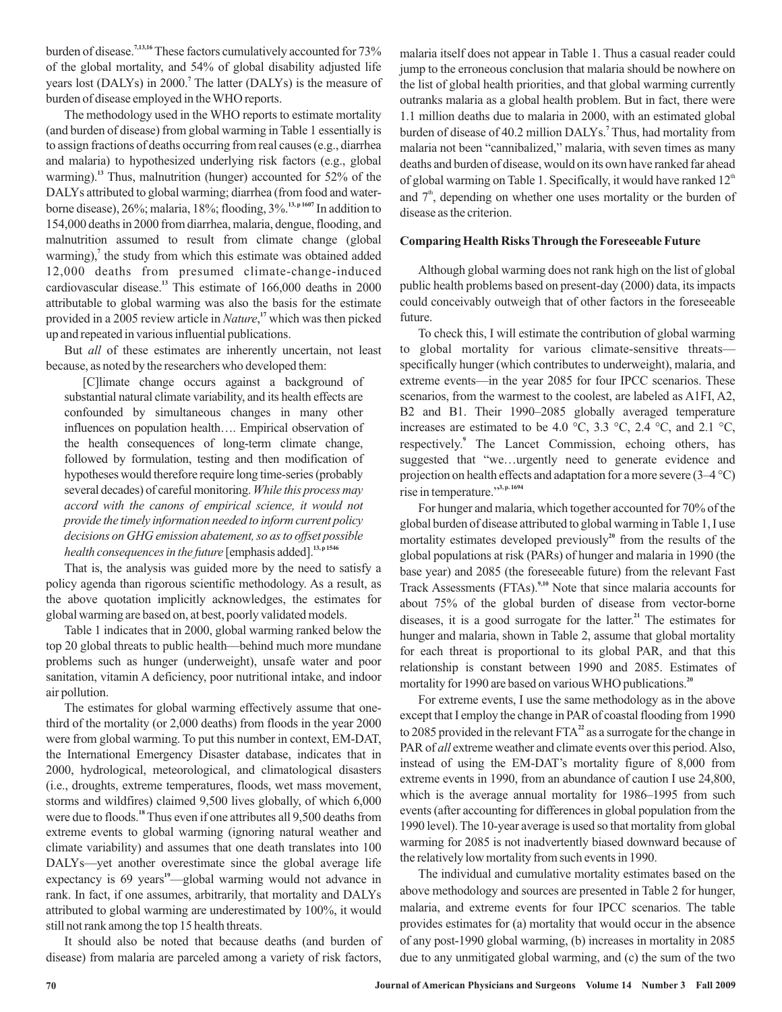burden of disease.<sup>7,13,16</sup> These factors cumulatively accounted for 73% of the global mortality, and 54% of global disability adjusted life years lost (DALYs) in 2000.<sup>7</sup> The latter (DALYs) is the measure of burden of disease employed in the WHO reports.

The methodology used in the WHO reports to estimate mortality (and burden of disease) from global warming in Table 1 essentially is to assign fractions of deaths occurring from real causes (e.g., diarrhea and malaria) to hypothesized underlying risk factors (e.g., global warming).<sup>13</sup> Thus, malnutrition (hunger) accounted for 52% of the DALYs attributed to global warming; diarrhea (from food and waterborne disease), 26%; malaria, 18%; flooding, 3%.<sup>13, p1607</sup> In addition to 154,000 deaths in 2000 from diarrhea, malaria, dengue, flooding, and malnutrition assumed to result from climate change (global warming),<sup>7</sup> the study from which this estimate was obtained added 12,000 deaths from presumed climate-change-induced cardiovascular disease.<sup>13</sup> This estimate of 166,000 deaths in 2000 attributable to global warming was also the basis for the estimate provided in a 2005 review article in *Nature*,<sup>17</sup> which was then picked up and repeated in various influential publications.

But *all* of these estimates are inherently uncertain, not least because, as noted by the researchers who developed them:

[C]limate change occurs against a background of substantial natural climate variability, and its health effects are confounded by simultaneous changes in many other influences on population health…. Empirical observation of the health consequences of long-term climate change, followed by formulation, testing and then modification of hypotheses would therefore require long time-series (probably several decades) of careful monitoring. *While this process may health consequences in the future* [emphasis added].<sup>13,p1546</sup> *accord with the canons of empirical science, it would not provide the timely information needed to inform current policy decisions on GHG emission abatement, so as to offset possible*

That is, the analysis was guided more by the need to satisfy a policy agenda than rigorous scientific methodology. As a result, as the above quotation implicitly acknowledges, the estimates for global warming are based on, at best, poorly validated models.

Table 1 indicates that in 2000, global warming ranked below the top 20 global threats to public health—behind much more mundane problems such as hunger (underweight), unsafe water and poor sanitation, vitamin A deficiency, poor nutritional intake, and indoor air pollution.

The estimates for global warming effectively assume that onethird of the mortality (or 2,000 deaths) from floods in the year 2000 were from global warming. To put this number in context, EM-DAT, the International Emergency Disaster database, indicates that in 2000, hydrological, meteorological, and climatological disasters (i.e., droughts, extreme temperatures, floods, wet mass movement, storms and wildfires) claimed 9,500 lives globally, of which 6,000 were due to floods.<sup>18</sup> Thus even if one attributes all 9,500 deaths from extreme events to global warming (ignoring natural weather and climate variability) and assumes that one death translates into 100 DALYs—yet another overestimate since the global average life expectancy is 69 years<sup>19</sup>—global warming would not advance in rank. In fact, if one assumes, arbitrarily, that mortality and DALYs attributed to global warming are underestimated by 100%, it would still not rank among the top 15 health threats.

It should also be noted that because deaths (and burden of disease) from malaria are parceled among a variety of risk factors,

malaria itself does not appear in Table 1. Thus a casual reader could jump to the erroneous conclusion that malaria should be nowhere on the list of global health priorities, and that global warming currently outranks malaria as a global health problem. But in fact, there were 1.1 million deaths due to malaria in 2000, with an estimated global burden of disease of 40.2 million DALYs.<sup>7</sup> Thus, had mortality from malaria not been "cannibalized," malaria, with seven times as many deaths and burden of disease, would on its own have ranked far ahead of global warming on Table 1. Specifically, it would have ranked  $12<sup>th</sup>$ and  $7<sup>th</sup>$ , depending on whether one uses mortality or the burden of disease as the criterion.

## **Comparing Health Risks Through the Foreseeable Future**

Although global warming does not rank high on the list of global public health problems based on present-day (2000) data, its impacts could conceivably outweigh that of other factors in the foreseeable future.

To check this, I will estimate the contribution of global warming to global mortality for various climate-sensitive threats specifically hunger (which contributes to underweight), malaria, and extreme events—in the year 2085 for four IPCC scenarios. These scenarios, from the warmest to the coolest, are labeled as A1FI, A2, B2 and B1. Their 1990–2085 globally averaged temperature increases are estimated to be 4.0 °C, 3.3 °C, 2.4 °C, and 2.1 °C, respectively.<sup>9</sup> The Lancet Commission, echoing others, has suggested that "we…urgently need to generate evidence and projection on health effects and adaptation for a more severe  $(3-4 \degree C)$ rise in temperature." **3, p. 1694**

For hunger and malaria, which together accounted for 70% of the global burden of disease attributed to global warming in Table 1, I use mortality estimates developed previously<sup>20</sup> from the results of the global populations at risk (PARs) of hunger and malaria in 1990 (the base year) and 2085 (the foreseeable future) from the relevant Fast Track Assessments (FTAs).<sup>9,10</sup> Note that since malaria accounts for about 75% of the global burden of disease from vector-borne diseases, it is a good surrogate for the latter.<sup>21</sup> The estimates for hunger and malaria, shown in Table 2, assume that global mortality for each threat is proportional to its global PAR, and that this relationship is constant between 1990 and 2085. Estimates of mortality for 1990 are based on various WHO publications. **20**

For extreme events, I use the same methodology as in the above except that I employ the change in PAR of coastal flooding from 1990 to 2085 provided in the relevant  $\text{FTA}^2$  as a surrogate for the change in PAR of all extreme weather and climate events over this period. Also, instead of using the EM-DAT's mortality figure of 8,000 from extreme events in 1990, from an abundance of caution I use 24,800, which is the average annual mortality for 1986–1995 from such events (after accounting for differences in global population from the 1990 level). The 10-year average is used so that mortality from global warming for 2085 is not inadvertently biased downward because of the relatively low mortality from such events in 1990.

The individual and cumulative mortality estimates based on the above methodology and sources are presented in Table 2 for hunger, malaria, and extreme events for four IPCC scenarios. The table provides estimates for (a) mortality that would occur in the absence of any post-1990 global warming, (b) increases in mortality in 2085 due to any unmitigated global warming, and (c) the sum of the two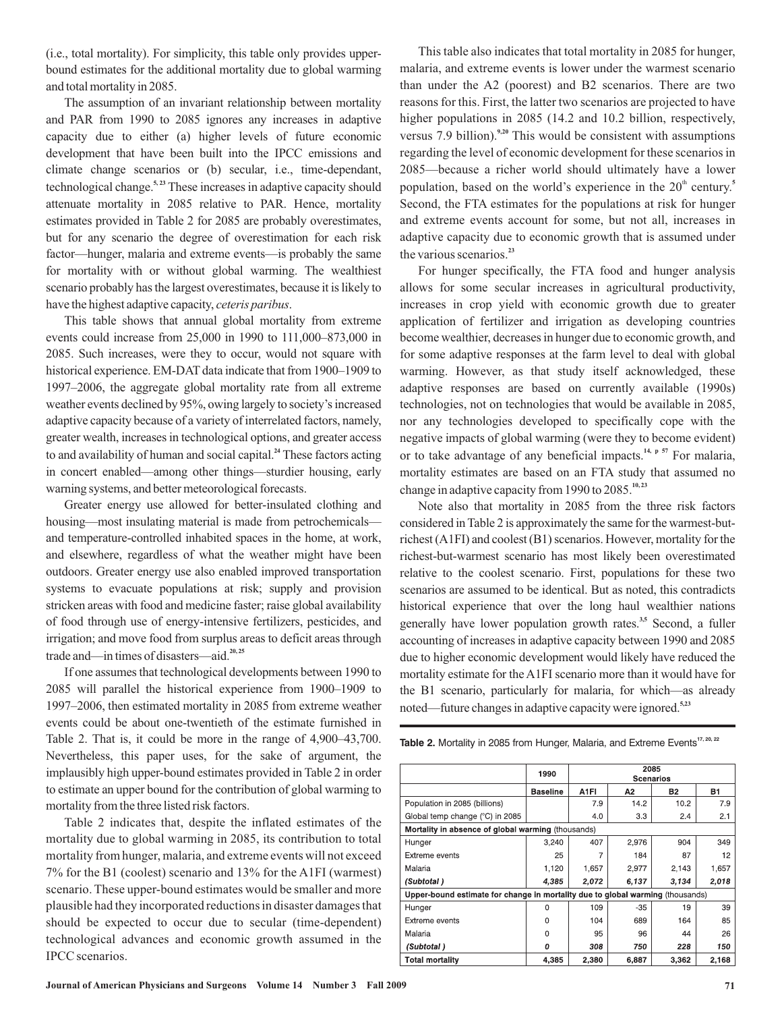(i.e., total mortality). For simplicity, this table only provides upperbound estimates for the additional mortality due to global warming and total mortality in 2085.

The assumption of an invariant relationship between mortality and PAR from 1990 to 2085 ignores any increases in adaptive capacity due to either (a) higher levels of future economic development that have been built into the IPCC emissions and climate change scenarios or (b) secular, i.e., time-dependant, technological change.<sup>5,23</sup> These increases in adaptive capacity should attenuate mortality in 2085 relative to PAR. Hence, mortality estimates provided in Table 2 for 2085 are probably overestimates, but for any scenario the degree of overestimation for each risk factor—hunger, malaria and extreme events—is probably the same for mortality with or without global warming. The wealthiest scenario probably has the largest overestimates, because it is likely to have the highest adaptive capacity, ceteris paribus.

This table shows that annual global mortality from extreme events could increase from 25,000 in 1990 to 111,000–873,000 in 2085. Such increases, were they to occur, would not square with historical experience. EM-DAT data indicate that from 1900–1909 to 1997–2006, the aggregate global mortality rate from all extreme weather events declined by 95%, owing largely to society's increased adaptive capacity because of a variety of interrelated factors, namely, greater wealth, increases in technological options, and greater access to and availability of human and social capital.<sup>24</sup> These factors acting in concert enabled—among other things—sturdier housing, early warning systems, and better meteorological forecasts.

Greater energy use allowed for better-insulated clothing and housing—most insulating material is made from petrochemicals and temperature-controlled inhabited spaces in the home, at work, and elsewhere, regardless of what the weather might have been outdoors. Greater energy use also enabled improved transportation systems to evacuate populations at risk; supply and provision stricken areas with food and medicine faster; raise global availability of food through use of energy-intensive fertilizers, pesticides, and irrigation; and move food from surplus areas to deficit areas through trade and—in times of disasters—aid. **20, 25**

If one assumes that technological developments between 1990 to 2085 will parallel the historical experience from 1900–1909 to 1997–2006, then estimated mortality in 2085 from extreme weather events could be about one-twentieth of the estimate furnished in Table 2. That is, it could be more in the range of 4,900–43,700. Nevertheless, this paper uses, for the sake of argument, the implausibly high upper-bound estimates provided in Table 2 in order to estimate an upper bound for the contribution of global warming to mortality from the three listed risk factors.

Table 2 indicates that, despite the inflated estimates of the mortality due to global warming in 2085, its contribution to total mortality from hunger, malaria, and extreme events will not exceed 7% for the B1 (coolest) scenario and 13% for the A1FI (warmest) scenario. These upper-bound estimates would be smaller and more plausible had they incorporated reductions in disaster damages that should be expected to occur due to secular (time-dependent) technological advances and economic growth assumed in the IPCC scenarios.

This table also indicates that total mortality in 2085 for hunger, malaria, and extreme events is lower under the warmest scenario than under the A2 (poorest) and B2 scenarios. There are two reasons for this. First, the latter two scenarios are projected to have higher populations in 2085 (14.2 and 10.2 billion, respectively, versus 7.9 billion).<sup>9,20</sup> This would be consistent with assumptions regarding the level of economic development for these scenarios in 2085—because a richer world should ultimately have a lower population, based on the world's experience in the 20<sup>th</sup> century.<sup>5</sup> Second, the FTA estimates for the populations at risk for hunger and extreme events account for some, but not all, increases in adaptive capacity due to economic growth that is assumed under the various scenarios. **23**

For hunger specifically, the FTA food and hunger analysis allows for some secular increases in agricultural productivity, increases in crop yield with economic growth due to greater application of fertilizer and irrigation as developing countries become wealthier, decreases in hunger due to economic growth, and for some adaptive responses at the farm level to deal with global warming. However, as that study itself acknowledged, these adaptive responses are based on currently available (1990s) technologies, not on technologies that would be available in 2085, nor any technologies developed to specifically cope with the negative impacts of global warming (were they to become evident) or to take advantage of any beneficial impacts.<sup>14, p 57</sup> For malaria, mortality estimates are based on an FTA study that assumed no change in adaptive capacity from 1990 to 2085.<sup>10,23</sup>

Note also that mortality in 2085 from the three risk factors considered in Table 2 is approximately the same for the warmest-butrichest (A1FI) and coolest (B1) scenarios. However, mortality for the richest-but-warmest scenario has most likely been overestimated relative to the coolest scenario. First, populations for these two scenarios are assumed to be identical. But as noted, this contradicts historical experience that over the long haul wealthier nations generally have lower population growth rates.<sup>3,5</sup> Second, a fuller accounting of increases in adaptive capacity between 1990 and 2085 due to higher economic development would likely have reduced the mortality estimate for the A1FI scenario more than it would have for the B1 scenario, particularly for malaria, for which—as already noted—future changes in adaptive capacity were ignored. **5,23**

|                                                                                | 1990            | 2085<br><b>Scenarios</b> |       |           |           |  |  |  |  |  |  |  |  |
|--------------------------------------------------------------------------------|-----------------|--------------------------|-------|-----------|-----------|--|--|--|--|--|--|--|--|
|                                                                                | <b>Baseline</b> | A <sub>1</sub> FI        | A2    | <b>B2</b> | <b>B1</b> |  |  |  |  |  |  |  |  |
| Population in 2085 (billions)                                                  |                 | 7.9                      | 14.2  | 10.2      | 7.9       |  |  |  |  |  |  |  |  |
| Global temp change (°C) in 2085                                                |                 | 4.0                      | 3.3   | 2.4       | 2.1       |  |  |  |  |  |  |  |  |
| Mortality in absence of global warming (thousands)                             |                 |                          |       |           |           |  |  |  |  |  |  |  |  |
| Hunger                                                                         | 3,240           | 407                      | 2.976 | 904       | 349       |  |  |  |  |  |  |  |  |
| Extreme events                                                                 | 25              | 7                        | 184   | 87        | 12        |  |  |  |  |  |  |  |  |
| Malaria                                                                        | 1,120           | 1,657                    | 2,977 | 2,143     | 1,657     |  |  |  |  |  |  |  |  |
| (Subtotal)                                                                     | 4,385           | 2,072                    | 6.137 | 3,134     | 2,018     |  |  |  |  |  |  |  |  |
| Upper-bound estimate for change in mortality due to global warming (thousands) |                 |                          |       |           |           |  |  |  |  |  |  |  |  |
| Hunger                                                                         | $\Omega$        | 109                      | $-35$ | 19        | 39        |  |  |  |  |  |  |  |  |
| Extreme events                                                                 | 0               | 104                      | 689   | 164       | 85        |  |  |  |  |  |  |  |  |
| Malaria                                                                        | ი               | 95                       | 96    | 44        | 26        |  |  |  |  |  |  |  |  |
| (Subtotal)                                                                     | 0               | 308                      | 750   | 228       | 150       |  |  |  |  |  |  |  |  |
| <b>Total mortality</b>                                                         | 4,385           | 2,380                    | 6,887 | 3,362     | 2,168     |  |  |  |  |  |  |  |  |

Table 2. Mortality in 2085 from Hunger, Malaria, and Extreme Events<sup>17, 20, 22</sup>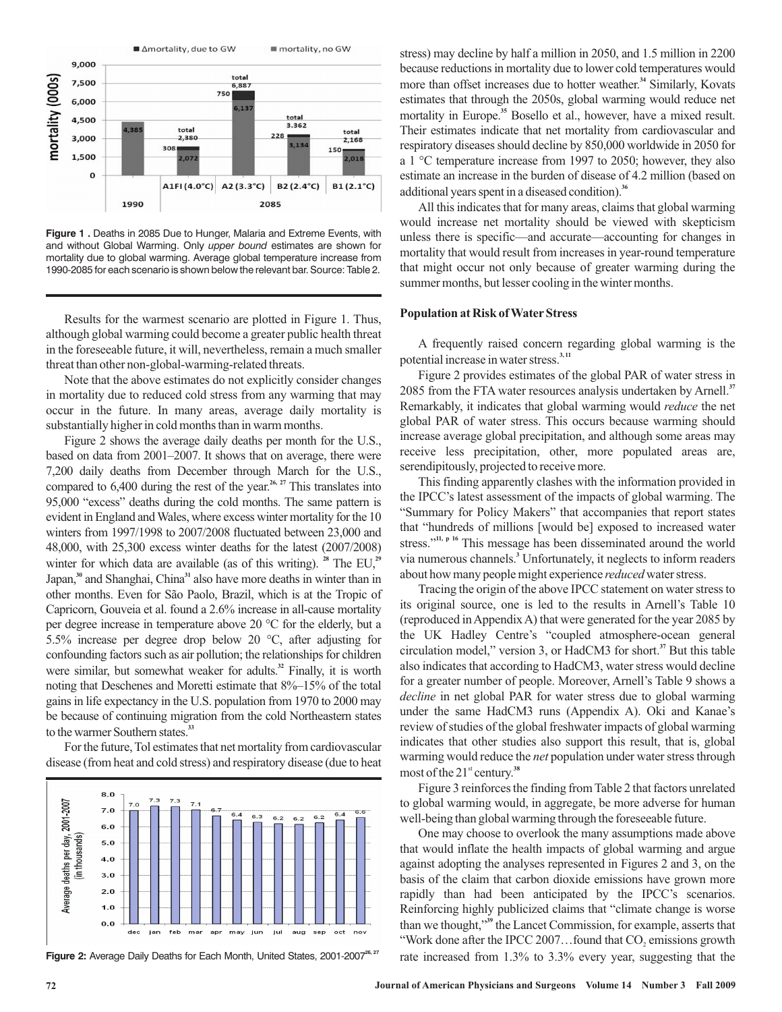

**Figure 1 .** Deaths in 2085 Due to Hunger, Malaria and Extreme Events, with and without Global Warming. Only upper bound estimates are shown for mortality due to global warming. Average global temperature increase from 1990-2085 for each scenario is shown below the relevant bar. Source: Table 2.

Results for the warmest scenario are plotted in Figure 1. Thus, although global warming could become a greater public health threat in the foreseeable future, it will, nevertheless, remain a much smaller threat than other non-global-warming-related threats.

Note that the above estimates do not explicitly consider changes in mortality due to reduced cold stress from any warming that may occur in the future. In many areas, average daily mortality is substantially higher in cold months than in warm months.

Figure 2 shows the average daily deaths per month for the U.S., based on data from 2001–2007. It shows that on average, there were 7,200 daily deaths from December through March for the U.S., compared to  $6,400$  during the rest of the year.<sup>26, 27</sup> This translates into 95,000 "excess" deaths during the cold months. The same pattern is evident in England and Wales, where excess winter mortality for the 10 winters from 1997/1998 to 2007/2008 fluctuated between 23,000 and 48,000, with 25,300 excess winter deaths for the latest (2007/2008) winter for which data are available (as of this writing). <sup>28</sup> The EU,<sup>29</sup> Japan,<sup>30</sup> and Shanghai, China<sup>31</sup> also have more deaths in winter than in other months. Even for São Paolo, Brazil, which is at the Tropic of Capricorn, Gouveia et al. found a 2.6% increase in all-cause mortality per degree increase in temperature above 20 °C for the elderly, but a 5.5% increase per degree drop below 20 °C, after adjusting for confounding factors such as air pollution; the relationships for children were similar, but somewhat weaker for adults.<sup>32</sup> Finally, it is worth noting that Deschenes and Moretti estimate that 8%–15% of the total gains in life expectancy in the U.S. population from 1970 to 2000 may be because of continuing migration from the cold Northeastern states to the warmer Southern states. **33**

For the future, Tol estimates that net mortality from cardiovascular disease (from heat and cold stress) and respiratory disease (due to heat



Figure 2: Average Daily Deaths for Each Month, United States, 2001-2007<sup>26, 27</sup>

stress) may decline by half a million in 2050, and 1.5 million in 2200 because reductions in mortality due to lower cold temperatures would more than offset increases due to hotter weather.<sup>34</sup> Similarly, Kovats estimates that through the 2050s, global warming would reduce net mortality in Europe.<sup>35</sup> Bosello et al., however, have a mixed result. Their estimates indicate that net mortality from cardiovascular and respiratory diseases should decline by 850,000 worldwide in 2050 for a 1 °C temperature increase from 1997 to 2050; however, they also estimate an increase in the burden of disease of 4.2 million (based on additional years spent in a diseased condition). **36**

All this indicates that for many areas, claims that global warming would increase net mortality should be viewed with skepticism unless there is specific—and accurate—accounting for changes in mortality that would result from increases in year-round temperature that might occur not only because of greater warming during the summer months, but lesser cooling in the winter months.

#### **Population at Risk of Water Stress**

A frequently raised concern regarding global warming is the potential increase in water stress.<sup>3,11</sup>

Figure 2 provides estimates of the global PAR of water stress in 2085 from the FTA water resources analysis undertaken by Arnell. **37** Remarkably, it indicates that global warming would *reduce* the net global PAR of water stress. This occurs because warming should increase average global precipitation, and although some areas may receive less precipitation, other, more populated areas are, serendipitously, projected to receive more.

This finding apparently clashes with the information provided in the IPCC's latest assessment of the impacts of global warming. The "Summary for Policy Makers" that accompanies that report states that "hundreds of millions [would be] exposed to increased water stress."<sup>11, p 16</sup> This message has been disseminated around the world via numerous channels.<sup>3</sup> Unfortunately, it neglects to inform readers about how many people might experience reduced water stress.

Tracing the origin of the above IPCC statement on water stress to its original source, one is led to the results in Arnell's Table 10 (reproduced inAppendixA) that were generated for the year 2085 by the UK Hadley Centre's "coupled atmosphere-ocean general circulation model," version 3, or HadCM3 for short.<sup>37</sup> But this table also indicates that according to HadCM3, water stress would decline for a greater number of people. Moreover, Arnell's Table 9 shows a decline in net global PAR for water stress due to global warming under the same HadCM3 runs (Appendix A). Oki and Kanae's review of studies of the global freshwater impacts of global warming indicates that other studies also support this result, that is, global warming would reduce the *net* population under water stress through most of the 21<sup>st</sup> century.<sup>38</sup>

Figure 3 reinforces the finding from Table 2 that factors unrelated to global warming would, in aggregate, be more adverse for human well-being than global warming through the foreseeable future.

One may choose to overlook the many assumptions made above that would inflate the health impacts of global warming and argue against adopting the analyses represented in Figures 2 and 3, on the basis of the claim that carbon dioxide emissions have grown more rapidly than had been anticipated by the IPCC's scenarios. Reinforcing highly publicized claims that "climate change is worse than we thought,"<sup>39</sup> the Lancet Commission, for example, asserts that "Work done after the IPCC 2007...found that  $CO<sub>2</sub>$  emissions growth rate increased from 1.3% to 3.3% every year, suggesting that the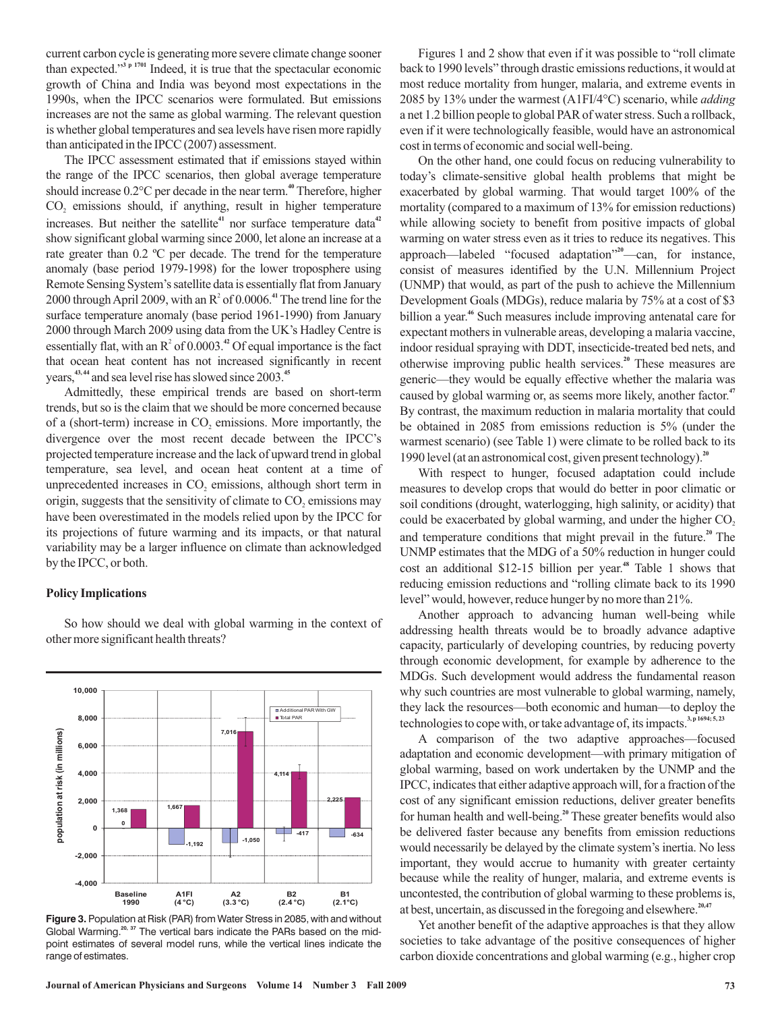current carbon cycle is generating more severe climate change sooner than expected." $3 p 1701$  Indeed, it is true that the spectacular economic growth of China and India was beyond most expectations in the 1990s, when the IPCC scenarios were formulated. But emissions increases are not the same as global warming. The relevant question is whether global temperatures and sea levels have risen more rapidly than anticipated in the IPCC (2007) assessment.

The IPCC assessment estimated that if emissions stayed within the range of the IPCC scenarios, then global average temperature should increase 0.2°C per decade in the near term.<sup>40</sup> Therefore, higher  $CO<sub>2</sub>$  emissions should, if anything, result in higher temperature increases. But neither the satellite<sup>41</sup> nor surface temperature data<sup>42</sup> show significant global warming since 2000, let alone an increase at a rate greater than 0.2 ºC per decade. The trend for the temperature anomaly (base period 1979-1998) for the lower troposphere using Remote Sensing System's satellite data is essentially flat from January 2000 through April 2009, with an  $R^2$  of 0.0006.<sup>41</sup> The trend line for the surface temperature anomaly (base period 1961-1990) from January 2000 through March 2009 using data from the UK's Hadley Centre is essentially flat, with an  $R^2$  of 0.0003.<sup>42</sup> Of equal importance is the fact that ocean heat content has not increased significantly in recent years,<sup>43,44</sup> and sea level rise has slowed since 2003.<sup>45</sup>

Admittedly, these empirical trends are based on short-term trends, but so is the claim that we should be more concerned because of a (short-term) increase in  $CO<sub>2</sub>$  emissions. More importantly, the divergence over the most recent decade between the IPCC's projected temperature increase and the lack of upward trend in global temperature, sea level, and ocean heat content at a time of unprecedented increases in  $CO<sub>2</sub>$  emissions, although short term in origin, suggests that the sensitivity of climate to  $CO<sub>2</sub>$  emissions may have been overestimated in the models relied upon by the IPCC for its projections of future warming and its impacts, or that natural variability may be a larger influence on climate than acknowledged by the IPCC, or both.

#### **Policy Implications**

So how should we deal with global warming in the context of other more significant health threats?





Figures 1 and 2 show that even if it was possible to "roll climate back to 1990 levels" through drastic emissions reductions, it would at most reduce mortality from hunger, malaria, and extreme events in 2085 by 13% under the warmest (A1FI/4°C) scenario, while *adding* a net 1.2 billion people to global PAR of water stress. Such a rollback, even if it were technologically feasible, would have an astronomical cost in terms of economic and social well-being.

On the other hand, one could focus on reducing vulnerability to today's climate-sensitive global health problems that might be exacerbated by global warming. That would target 100% of the mortality (compared to a maximum of 13% for emission reductions) while allowing society to benefit from positive impacts of global warming on water stress even as it tries to reduce its negatives. This approach—labeled "focused adaptation"<sup>20</sup>—can, for instance, consist of measures identified by the U.N. Millennium Project (UNMP) that would, as part of the push to achieve the Millennium Development Goals (MDGs), reduce malaria by 75% at a cost of \$3 billion a year.<sup>46</sup> Such measures include improving antenatal care for expectant mothers in vulnerable areas, developing a malaria vaccine, indoor residual spraying with DDT, insecticide-treated bed nets, and otherwise improving public health services.<sup>20</sup> These measures are generic—they would be equally effective whether the malaria was caused by global warming or, as seems more likely, another factor. **47** By contrast, the maximum reduction in malaria mortality that could be obtained in 2085 from emissions reduction is 5% (under the warmest scenario) (see Table 1) were climate to be rolled back to its 1990 level (at an astronomical cost, given present technology). **20**

With respect to hunger, focused adaptation could include measures to develop crops that would do better in poor climatic or soil conditions (drought, waterlogging, high salinity, or acidity) that could be exacerbated by global warming, and under the higher CO 2 and temperature conditions that might prevail in the future.<sup>20</sup> The UNMP estimates that the MDG of a 50% reduction in hunger could cost an additional \$12-15 billion per year.<sup>48</sup> Table 1 shows that reducing emission reductions and "rolling climate back to its 1990 level" would, however, reduce hunger by no more than 21%.

Another approach to advancing human well-being while addressing health threats would be to broadly advance adaptive capacity, particularly of developing countries, by reducing poverty through economic development, for example by adherence to the MDGs. Such development would address the fundamental reason why such countries are most vulnerable to global warming, namely, they lack the resources—both economic and human—to deploy the technologies to cope with, or take advantage of, its impacts. **3, p 1694; 5, 23**

A comparison of the two adaptive approaches—focused adaptation and economic development—with primary mitigation of global warming, based on work undertaken by the UNMP and the IPCC, indicates that either adaptive approach will, for a fraction of the cost of any significant emission reductions, deliver greater benefits for human health and well-being.<sup>20</sup> These greater benefits would also be delivered faster because any benefits from emission reductions would necessarily be delayed by the climate system's inertia. No less important, they would accrue to humanity with greater certainty because while the reality of hunger, malaria, and extreme events is uncontested, the contribution of global warming to these problems is, at best, uncertain, as discussed in the foregoing and elsewhere. **20,47**

Yet another benefit of the adaptive approaches is that they allow societies to take advantage of the positive consequences of higher carbon dioxide concentrations and global warming (e.g., higher crop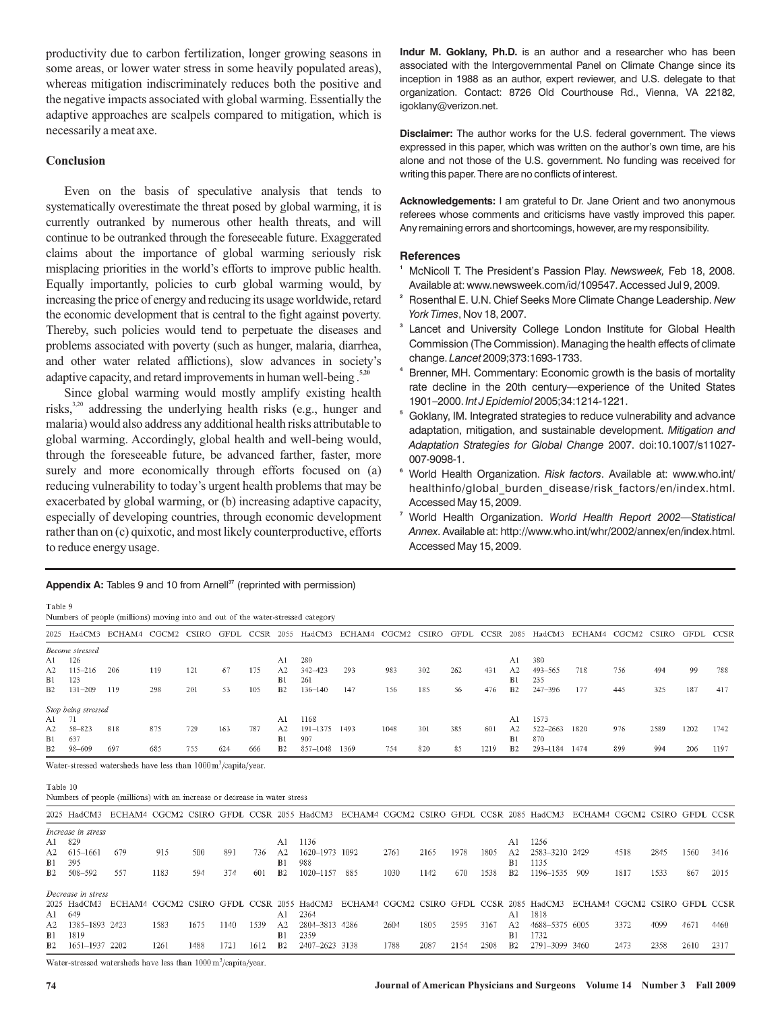productivity due to carbon fertilization, longer growing seasons in some areas, or lower water stress in some heavily populated areas), whereas mitigation indiscriminately reduces both the positive and the negative impacts associated with global warming. Essentially the adaptive approaches are scalpels compared to mitigation, which is necessarily a meat axe.

## **Conclusion**

Even on the basis of speculative analysis that tends to systematically overestimate the threat posed by global warming, it is currently outranked by numerous other health threats, and will continue to be outranked through the foreseeable future. Exaggerated claims about the importance of global warming seriously risk misplacing priorities in the world's efforts to improve public health. Equally importantly, policies to curb global warming would, by increasing the price of energy and reducing its usage worldwide, retard the economic development that is central to the fight against poverty. Thereby, such policies would tend to perpetuate the diseases and problems associated with poverty (such as hunger, malaria, diarrhea, and other water related afflictions), slow advances in society's adaptive capacity, and retard improvements in human well-being . **5,20**

Since global warming would mostly amplify existing health risks,<sup>3,20</sup> addressing the underlying health risks (e.g., hunger and malaria) would also address any additional health risks attributable to global warming. Accordingly, global health and well-being would, through the foreseeable future, be advanced farther, faster, more surely and more economically through efforts focused on  $(a)$ reducing vulnerability to today's urgent health problems that may be exacerbated by global warming, or (b) increasing adaptive capacity, especially of developing countries, through economic development rather than on (c) quixotic, and most likely counterproductive, efforts to reduce energy usage.

Indur M. Goklany, Ph.D. is an author and a researcher who has been associated with the Intergovernmental Panel on Climate Change since its inception in 1988 as an author, expert reviewer, and U.S. delegate to that organization. Contact: 8726 Old Courthouse Rd., Vienna, VA 22182, igoklany@verizon.net.

**Disclaimer:** The author works for the U.S. federal government. The views expressed in this paper, which was written on the author's own time, are his alone and not those of the U.S. government. No funding was received for writing this paper. There are no conflicts of interest.

**Acknowledgements:** I am grateful to Dr. Jane Orient and two anonymous referees whose comments and criticisms have vastly improved this paper. Any remaining errors and shortcomings, however, are my responsibility.

### **References**

- **1** McNicoll T. The President's Passion Play. Newsweek, Feb 18, 2008. Available at: www.newsweek.com/id/109547. Accessed Jul 9, 2009.
- **2** Rosenthal E. U.N. Chief Seeks More Climate Change Leadership. *New York Times*, Nov 18, 2007.
- **3** Lancet and University College London Institute for Global Health Commission (The Commission). Managing the health effects of climate change. 2009;373:1693-1733. *Lancet*
- **4** Brenner, MH. Commentary: Economic growth is the basis of mortality rate decline in the 20th century—experience of the United States 1901-2000. Int J Epidemiol 2005;34:1214-1221.
- **5** Goklany, IM. Integrated strategies to reduce vulnerability and advance adaptation, mitigation, and sustainable development. *Mitigation and* Adaptation Strategies for Global Change 2007. doi:10.1007/s11027-007-9098-1.
- <sup>6</sup> World Health Organization. Risk factors. Available at: www.who.int/ healthinfo/global\_burden\_disease/risk\_factors/en/index.html. Accessed May 15, 2009.
- **7** World Health Organization. World Health Report 2002-Statistical . Available at: http://www.who.int/whr/2002/annex/en/index.html. *Annex* Accessed May 15, 2009.

| Table 9 |  |  |  |                                                                                 |  |
|---------|--|--|--|---------------------------------------------------------------------------------|--|
|         |  |  |  | Numbers of neonle (millions) moving into and out of the water-stressed category |  |

Appendix A: Tables 9 and 10 from Arnell<sup>37</sup> (reprinted with permission)

|                | Numbers of people (millions) moving into and out of the water-stressed category |        |       |              |           |     |                |             |        |       |       |           |      |                |             |        |       |         |      |             |
|----------------|---------------------------------------------------------------------------------|--------|-------|--------------|-----------|-----|----------------|-------------|--------|-------|-------|-----------|------|----------------|-------------|--------|-------|---------|------|-------------|
|                | 2025 HadCM3                                                                     | ECHAM4 | CGCM2 | <b>CSIRO</b> | GFDL CCSR |     | 2055           | HadCM3      | ECHAM4 | CGCM2 | CSIRO | GFDL CCSR |      | 2085           | HadCM3      | ECHAM4 | CGCM2 | CSIRO - | GFDL | <b>CCSR</b> |
|                | Become stressed                                                                 |        |       |              |           |     |                |             |        |       |       |           |      |                |             |        |       |         |      |             |
| A1.            | 126                                                                             |        |       |              |           |     | A1             | 280         |        |       |       |           |      | A1             | 380         |        |       |         |      |             |
| A2             | $115 - 216$                                                                     | 206    | 119   | 121          | 67        | 175 | A2             | $342 - 423$ | 293    | 983   | 302   | 262       | 431  | A <sub>2</sub> | $493 - 565$ | 718    | 756   | 494     | 99   | 788         |
| B1             | 123                                                                             |        |       |              |           |     | B1             | 261         |        |       |       |           |      | B1             | 235         |        |       |         |      |             |
| B <sub>2</sub> | $131 - 209$                                                                     | 119    | 298   | 201          | 53        | 105 | <b>B2</b>      | $136 - 140$ | 147    | 156   | 185   | 56        | 476  | B <sub>2</sub> | $247 - 396$ | 177    | 445   | 325     | 187  | 417         |
|                | Stop being stressed                                                             |        |       |              |           |     |                |             |        |       |       |           |      |                |             |        |       |         |      |             |
| A1.            |                                                                                 |        |       |              |           |     | Al             | 1168        |        |       |       |           |      | A1             | 1573        |        |       |         |      |             |
| A <sub>2</sub> | 58-823                                                                          | 818    | 875   | 729          | 163       | 787 | A2             | 191-1375    | 1493   | 1048  | 301   | 385       | 601  | A2             | 522-2663    | 1820   | 976   | 2589    | 1202 | 1742        |
| B1             | 637                                                                             |        |       |              |           |     | B1             | 907         |        |       |       |           |      | B1             | 870         |        |       |         |      |             |
| B <sub>2</sub> | 98-609                                                                          | 697    | 685   | 755          | 624       | 666 | B <sub>2</sub> | 857-1048    | 1369   | 754   | 820   | 85        | 1219 | B <sub>2</sub> | 293-1184    | 1474   | 899   | 994     | 206  | 1197        |

Water-stressed watersheds have less than  $1000 \text{ m}^3/\text{capita}/\text{year}.$ 

#### Table 10

Numbers of people (millions) with an increase or decrease in water stress

|                | 2025 HadCM3           | ECHAM4 CGCM2 CSIRO GFDL CCSR 2055 HadCM3 ECHAM4 CGCM2 CSIRO GFDL CCSR 2085 HadCM3 |      |      |      |      |                |                |                              |      |      |      |      |                |                | ECHAM4 CGCM2 CSIRO GFDL CCSR |      |      |      |      |
|----------------|-----------------------|-----------------------------------------------------------------------------------|------|------|------|------|----------------|----------------|------------------------------|------|------|------|------|----------------|----------------|------------------------------|------|------|------|------|
|                | Increase in stress    |                                                                                   |      |      |      |      |                |                |                              |      |      |      |      |                |                |                              |      |      |      |      |
| A1 829         |                       |                                                                                   |      |      |      |      | Al             | 1136           |                              |      |      |      |      | A1             | 1256           |                              |      |      |      |      |
|                | $A2 \quad 615 - 1661$ | 679                                                                               | 915  | 500  | 891  | 736  | A2             | 1620-1973 1092 |                              | 2761 | 2165 | 1978 | 1805 | A2             | 2583-3210 2429 |                              | 4518 | 2845 | 1560 | 3416 |
| <b>B</b> 1     | 395                   |                                                                                   |      |      |      |      | B1             | 988            |                              |      |      |      |      | B1             | 1135           |                              |      |      |      |      |
| B2             | 508-592               | 557                                                                               | 1183 | 594  | 374  | 601  | B <sub>2</sub> | 1020-1157      | -885                         | 1030 | 1142 | 670  | 1538 | B <sub>2</sub> | 1196-1535      | 909                          | 1817 | 1533 | 867  | 2015 |
|                | Decrease in stress    |                                                                                   |      |      |      |      |                |                |                              |      |      |      |      |                |                |                              |      |      |      |      |
|                | 2025 HadCM3           | ECHAM4 CGCM2 CSIRO GFDL CCSR 2055 HadCM3                                          |      |      |      |      |                |                | ECHAM4 CGCM2 CSIRO GFDL CCSR |      |      |      |      |                | 2085 HadCM3    | ECHAM4 CGCM2 CSIRO GFDL CCSR |      |      |      |      |
| A1 649         |                       |                                                                                   |      |      |      |      | A1             | -2364          |                              |      |      |      |      | A1             | 1818           |                              |      |      |      |      |
|                | A2 1385-1893 2423     |                                                                                   | 1583 | 1675 | 1140 | 1539 | A <sub>2</sub> | 2804-3813 4286 |                              | 2604 | 1805 | 2595 | 3167 | A <sub>2</sub> | 4688-5375 6005 |                              | 3372 | 4099 | 4671 | 4460 |
| B1             | 1819                  |                                                                                   |      |      |      |      | B1             | 2359           |                              |      |      |      |      | B1             | 1732           |                              |      |      |      |      |
| B <sub>2</sub> | 1651-1937 2202        |                                                                                   | 1261 | 1488 | 1721 | 1612 | <b>B</b> 2     | 2407-2623 3138 |                              | 1788 | 2087 | 2154 | 2508 | <b>B</b> 2     | 2791-3099 3460 |                              | 2473 | 2358 | 2610 | 2317 |

Water-stressed watersheds have less than  $1000 \,\mathrm{m}^3/\mathrm{capit}$ a/year.